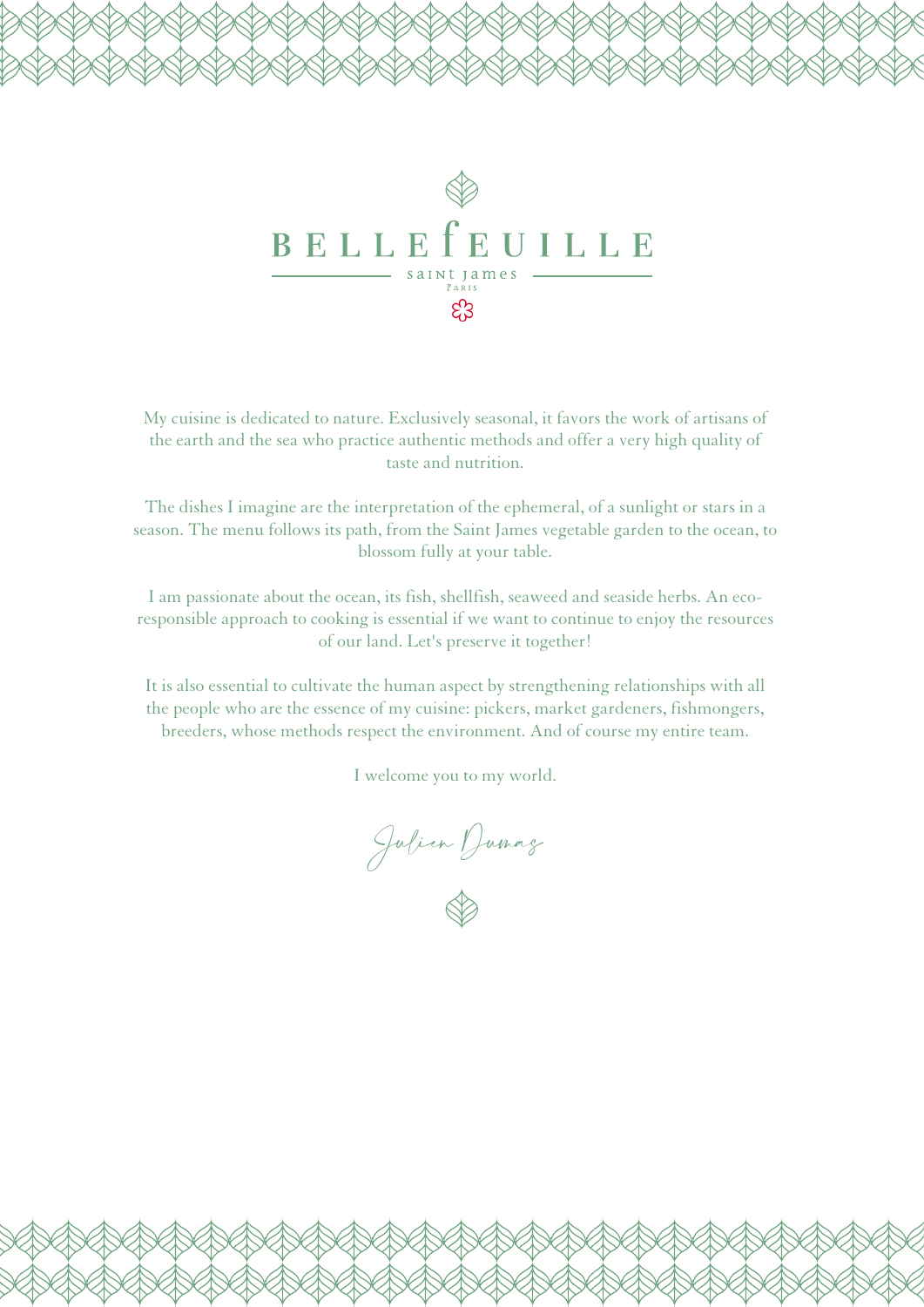

My cuisine is dedicated to nature. Exclusively seasonal, it favors the work of artisans of the earth and the sea who practice authentic methods and offer a very high quality of taste and nutrition.

The dishes I imagine are the interpretation of the ephemeral, of a sunlight or stars in a season. The menu follows its path, from the Saint James vegetable garden to the ocean, to blossom fully at your table.

I am passionate about the ocean, its fish, shellfish, seaweed and seaside herbs. An ecoresponsible approach to cooking is essential if we want to continue to enjoy the resources of our land. Let's preserve it together!

It is also essential to cultivate the human aspect by strengthening relationships with all the people who are the essence of my cuisine: pickers, market gardeners, fishmongers, breeders, whose methods respect the environment. And of course my entire team.

I welcome you to my world.

Julien Dumas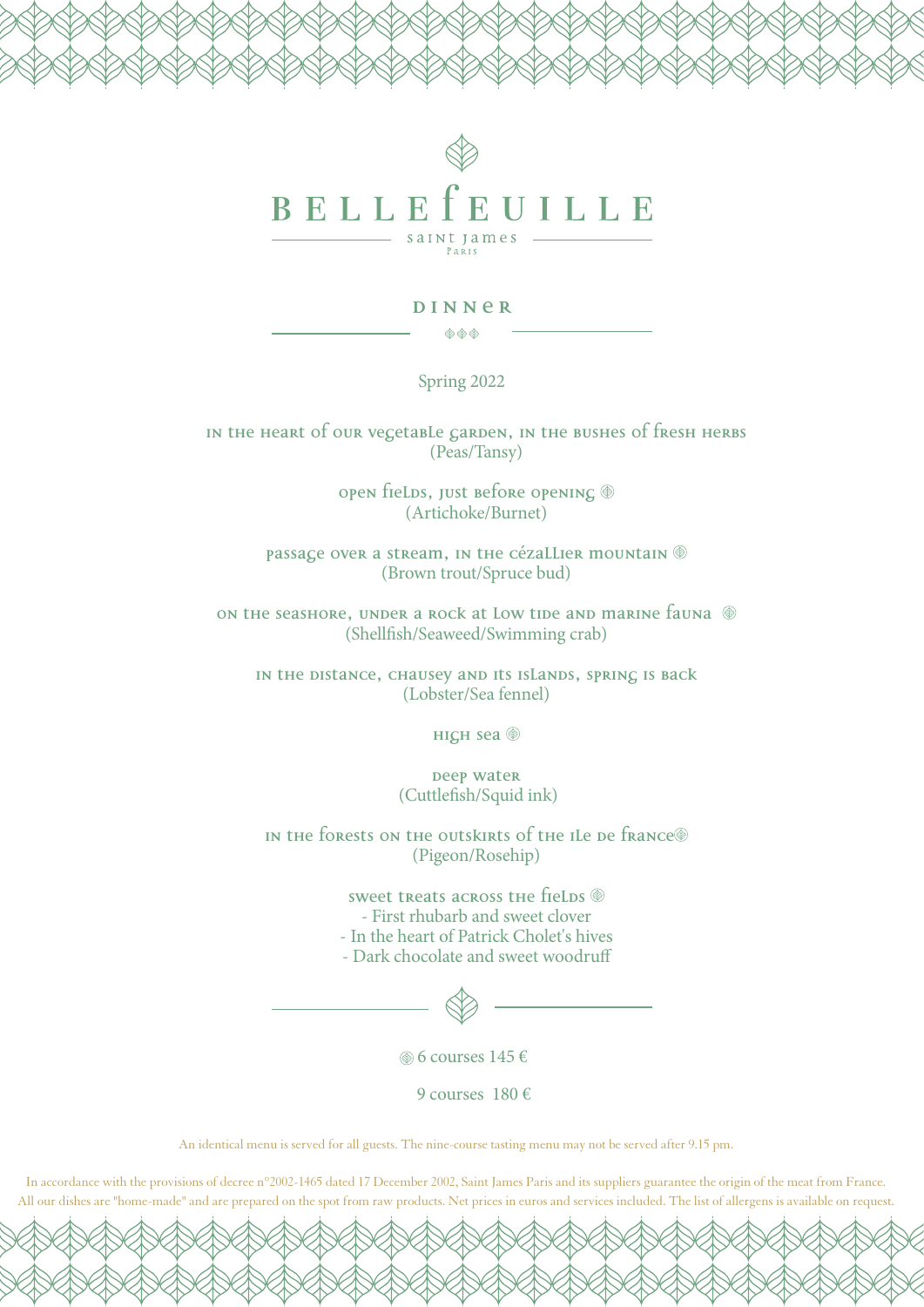

## **DINNER**

 $\begin{picture}(150,10) \put(0,0){\line(1,0){10}} \put(10,0){\line(1,0){10}} \put(10,0){\line(1,0){10}} \put(10,0){\line(1,0){10}} \put(10,0){\line(1,0){10}} \put(10,0){\line(1,0){10}} \put(10,0){\line(1,0){10}} \put(10,0){\line(1,0){10}} \put(10,0){\line(1,0){10}} \put(10,0){\line(1,0){10}} \put(10,0){\line(1,0){10}} \put(10,0){\line($ 

Spring 2022

**In the heart of our vegetable garden, in the bushes of fresh herbs**  (Peas/Tansy)

> **OPEN fields, just before opening**  $\circledast$ (Artichoke/Burnet)

**Passage over a stream, in the Cézallier mountain**  (Brown trout/Spruce bud)

**ON the seashore, UNDER a ROCK at LOW tide and marine fauna**  $\circledast$ (Shellfish/Seaweed/Swimming crab)

**in the distance, Chausey and its islands, spring is back**  (Lobster/Sea fennel)

**High Sea** 

**Deep water** (Cuttlefish/Squid ink)

IN the forests on the outskirts of the ILe De france<sup>®</sup> (Pigeon/Rosehip)

> sweet treats across the fields  $\circledast$ - First rhubarb and sweet clover - In the heart of Patrick Cholet's hives - Dark chocolate and sweet woodruff

6 courses 145 €

9 courses 180 €

An identical menu is served for all guests. The nine-course tasting menu may not be served after 9.15 pm.

In accordance with the provisions of decree n°2002-1465 dated 17 December 2002, Saint James Paris and its suppliers guarantee the origin of the meat from France. All our dishes are "home-made" and are prepared on the spot from raw products. Net prices in euros and services included. The list of allergens is available on request.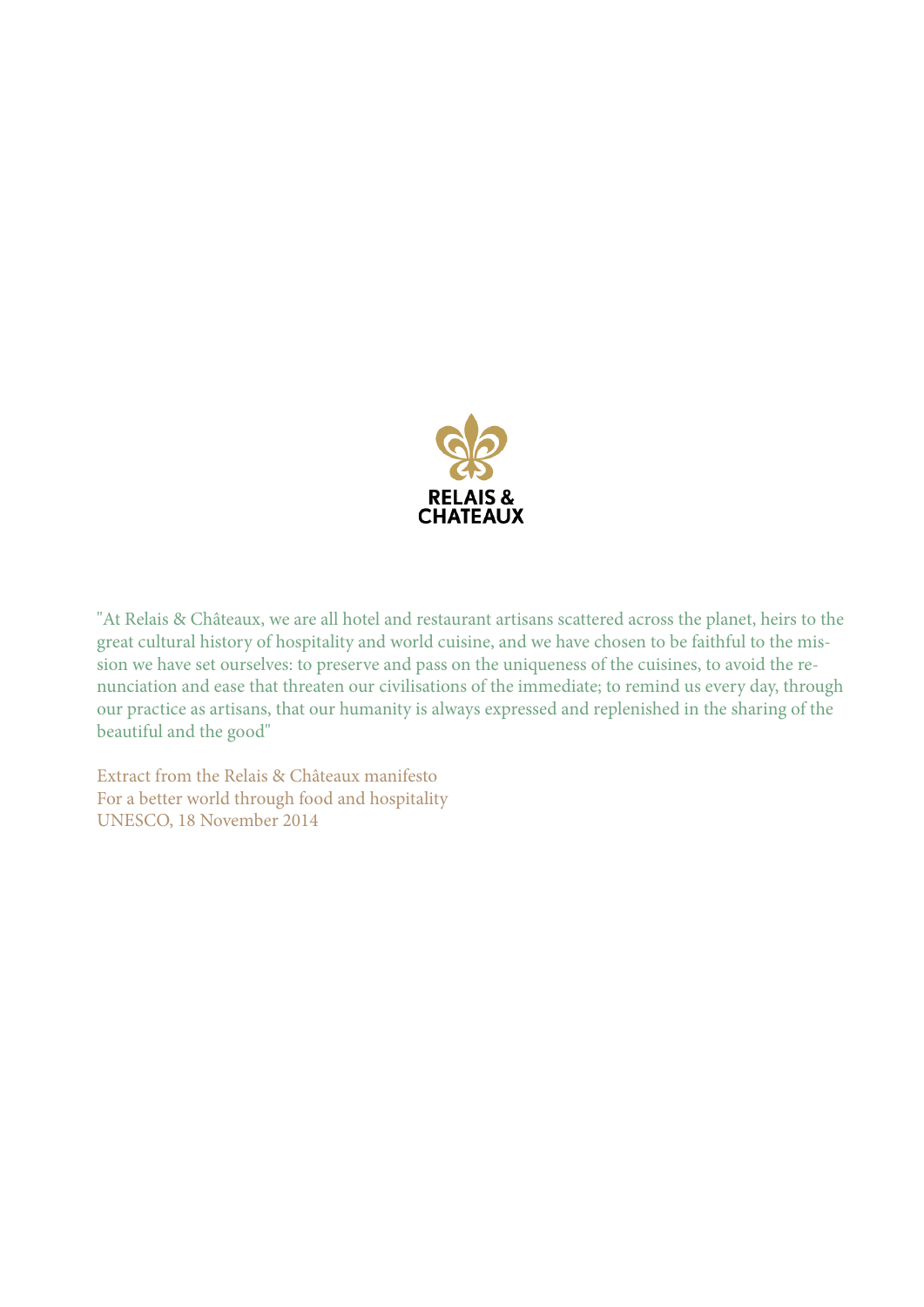

"At Relais & Châteaux, we are all hotel and restaurant artisans scattered across the planet, heirs to the great cultural history of hospitality and world cuisine, and we have chosen to be faithful to the mission we have set ourselves: to preserve and pass on the uniqueness of the cuisines, to avoid the renunciation and ease that threaten our civilisations of the immediate; to remind us every day, through our practice as artisans, that our humanity is always expressed and replenished in the sharing of the beautiful and the good"

Extract from the Relais & Châteaux manifesto For a better world through food and hospitality UNESCO, 18 November 2014